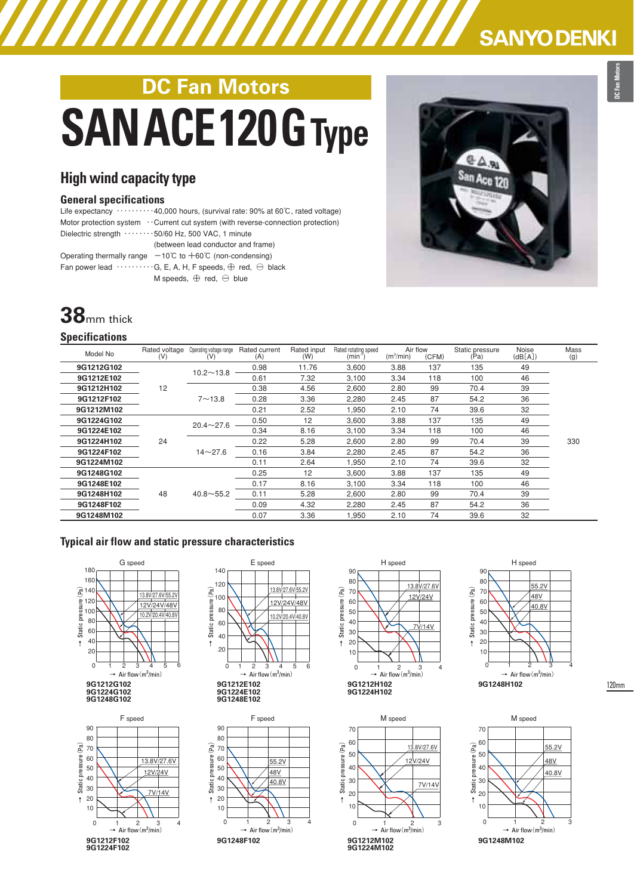# **DC Fan Motors** SANACE120GType

### **High wind capacity type**

### **General specifications**

Life expectancy ‥‥‥‥‥40,000 hours, (survival rate: 90% at 60℃, rated voltage) Motor protection system ⋯ Current cut system (with reverse-connection protection) Dielectric strength  $\cdots \cdots \cdots 50/60$  Hz, 500 VAC, 1 minute (between lead conductor and frame) Operating thermally range  $-10^{\circ}$ C to  $+60^{\circ}$ C (non-condensing) Fan power lead  $\cdots \cdots \cdots$ G, E, A, H, F speeds,  $\oplus$  red,  $\ominus$  black M speeds,  $\oplus$  red,  $\ominus$  blue

## **38**mm thick

#### **Specifications**

| Model No   | Rated voltage<br>(V) | Operating voltage range<br>(V) | Rated current<br>(A) | Rated input<br>(W) | Rated rotating speed<br>$(min-1$ | Air flow<br>$(m^3/min)$ | (CFM) | Static pressure<br>(Pa) | Noise<br>(dB[A]) | Mass<br>(g) |
|------------|----------------------|--------------------------------|----------------------|--------------------|----------------------------------|-------------------------|-------|-------------------------|------------------|-------------|
| 9G1212G102 | 12                   | $10.2 - 13.8$                  | 0.98                 | 11.76              | 3,600                            | 3.88                    | 137   | 135                     | 49               | 330         |
| 9G1212E102 |                      |                                | 0.61                 | 7.32               | 3.100                            | 3.34                    | 118   | 100                     | 46               |             |
| 9G1212H102 |                      | $7 - 13.8$                     | 0.38                 | 4.56               | 2,600                            | 2.80                    | 99    | 70.4                    | 39               |             |
| 9G1212F102 |                      |                                | 0.28                 | 3.36               | 2,280                            | 2.45                    | 87    | 54.2                    | 36               |             |
| 9G1212M102 |                      |                                | 0.21                 | 2.52               | 1,950                            | 2.10                    | 74    | 39.6                    | 32               |             |
| 9G1224G102 | 24                   | $20.4 \sim 27.6$               | 0.50                 | 12                 | 3.600                            | 3.88                    | 137   | 135                     | 49               |             |
| 9G1224E102 |                      |                                | 0.34                 | 8.16               | 3,100                            | 3.34                    | 118   | 100                     | 46               |             |
| 9G1224H102 |                      | $14 - 27.6$                    | 0.22                 | 5.28               | 2.600                            | 2.80                    | 99    | 70.4                    | 39               |             |
| 9G1224F102 |                      |                                | 0.16                 | 3.84               | 2,280                            | 2.45                    | 87    | 54.2                    | 36               |             |
| 9G1224M102 |                      |                                | 0.11                 | 2.64               | 1,950                            | 2.10                    | 74    | 39.6                    | 32               |             |
| 9G1248G102 | 48                   | $40.8 \sim 55.2$               | 0.25                 | 12                 | 3.600                            | 3.88                    | 137   | 135                     | 49               |             |
| 9G1248E102 |                      |                                | 0.17                 | 8.16               | 3.100                            | 3.34                    | 118   | 100                     | 46               |             |
| 9G1248H102 |                      |                                | 0.11                 | 5.28               | 2.600                            | 2.80                    | 99    | 70.4                    | 39               |             |
| 9G1248F102 |                      |                                | 0.09                 | 4.32               | 2,280                            | 2.45                    | 87    | 54.2                    | 36               |             |
| 9G1248M102 |                      |                                | 0.07                 | 3.36               | 1,950                            | 2.10                    | 74    | 39.6                    | 32               |             |

### **Typical air flow and static pressure characteristics**











→ Static pressure(Pa)

 $\ddagger$ 

10 20 30

**9G1212M102 9G1224M102**

50 40

70 60



48V 55.2V



**SANYO DENKI** 



120mm